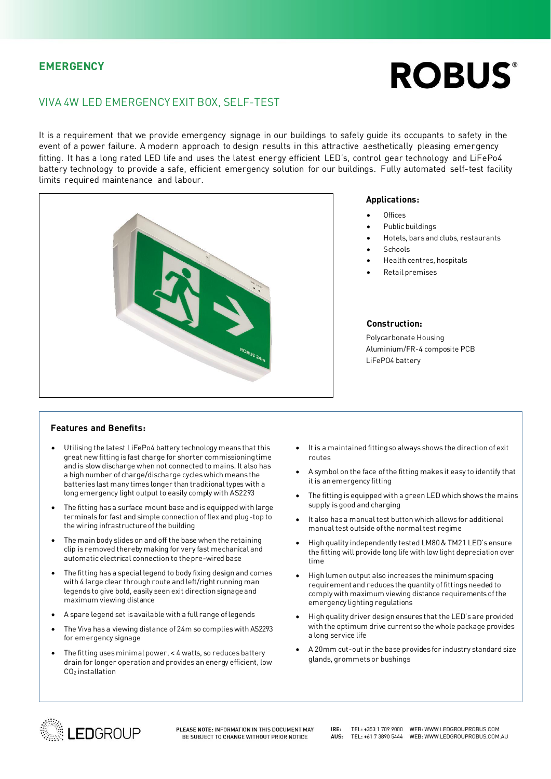### **EMERGENCY**

# **ROBUS®**

## VIVA 4W LED EMERGENCY EXIT BOX, SELF-TEST

It is a requirement that we provide emergency signage in our buildings to safely guide its occupants to safety in the<br>event of a power failure. A modern approach to design results in this attractive aesthetically pleasing fitting. It has a long rated LED life and uses the latest energy efficient LED's, control gear technology and LiFePo4 battery technology to provide a safe, efficient emergency solution for our buildings. Fully automated self-test facility limits required maintenance and labour.



#### Applications: **Applications:**

- Offices
- Public buildings
- Hotels, bars and clubs, restaurants
- **Schools**
- Health centres, hospitals
- Retail premises

#### Construction:

**Polycarbonate Housing** Aluminium/FR-4 composite PCB LiFeP04 battery  $\mathcal{L}_{\mathcal{F}}$ 

- Utilising the latest LiFePo4 battery technology means that this and is slow discharge when not connected to mains. It also has a high number of charge/discharge cycles which means the batteries last many times longer than traditional types with a long emergency light output to easily comply with AS2293 long emergency light output to easily comply with AS2293
- The fitting has a surface mount base and is equipped with large<br>terminals for fast and simple connection of flex and plug-top to the wiring infrastructure of the building  $\frac{1}{2}$ the wiring infrastructure of the building infrastructure of the building infrastructure of the building infrastructure of the building infrastructure of the building infrastructure of the building infrastructure of the bui
- The main body slides on and off the base when the retaining<br>clip is removed thereby making for very fast mechanical and automatic electrical connection to the pre-wired base automatic electrical connection to the pre-wired base
- The fitting has a special legend to body fixing design and comes<br>with 4 large clear through route and left/right running man legends to give bold, easily seen exit direction signage and maximum viewing distance maximum viewing distance
- A spare legend set is available with a full range of legends
- The Viva has a viewing distance of 24m so complies with AS2293 for emergency signage
- The fitting uses minimal power, < 4 watts, so reduces battery<br>drain for longer operation and provides an energy efficient, low  $CO<sub>2</sub>$  installation CO2 installation
- It is a maintained fitting so always shows the direction of exit
- A symbol on the face of the fitting makes it easy to identify that it is an emergency fitting
- The fitting is equipped with a green LED which shows the mains supply is good and charging
- It also has a manual test button which allows for additional manual test outside of the normal test regime
- High quality independently tested LM80 & TM21 LED's ensure the fitting will provide long life with low light depreciation over
- High lumen output also increases the minimum spacing comply with maximum viewing distance requirements of the complete with maximum viewing  $\frac{1}{2}$ emergency lighting regulations
- High quality driver design ensures that the LED's are provided a long service life a long service life
- A 20mm cut-out in the base provides for industry standard size glands, grommets or bushings



PLEASE NOTE: INFORMATION IN THIS DOCUMENT MAY BE SUBJECT TO CHANGE WITHOUT PRIOR NOTICE

IDE. TEL: +353 1 709 9000 WEB: WWW.LEDGROUPROBUS.COM AUS: TEL: +61 7 3890 5444

- 
- WEB: WWW.LEDGROUPROBUS.COM.AU